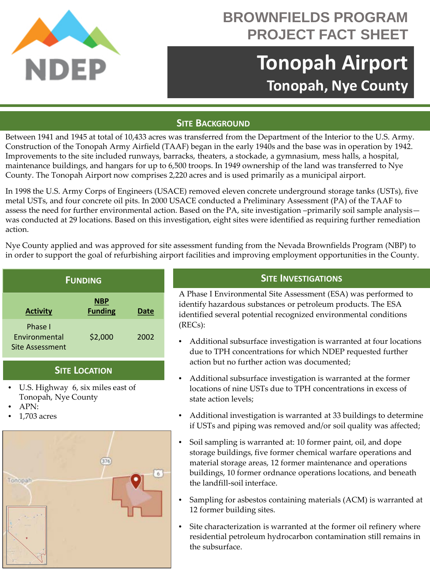

## **BROWNFIELDS PROGRAM PROJECT FACT SHEET**

# **Tonopah Airport Tonopah, Nye County**

#### **SITE BACKGROUND**

Between 1941 and 1945 at total of 10,433 acres was transferred from the Department of the Interior to the U.S. Army. Construction of the Tonopah Army Airfield (TAAF) began in the early 1940s and the base was in operation by 1942. Improvements to the site included runways, barracks, theaters, a stockade, a gymnasium, mess halls, a hospital, maintenance buildings, and hangars for up to 6,500 troops. In 1949 ownership of the land was transferred to Nye County. The Tonopah Airport now comprises 2,220 acres and is used primarily as a municipal airport.

In 1998 the U.S. Army Corps of Engineers (USACE) removed eleven concrete underground storage tanks (USTs), five metal USTs, and four concrete oil pits. In 2000 USACE conducted a Preliminary Assessment (PA) of the TAAF to assess the need for further environmental action. Based on the PA, site investigation –primarily soil sample analysis was conducted at 29 locations. Based on this investigation, eight sites were identified as requiring further remediation action.

Nye County applied and was approved for site assessment funding from the Nevada Brownfields Program (NBP) to in order to support the goal of refurbishing airport facilities and improving employment opportunities in the County.

| <b>FUNDING</b>                                     |                              |             |
|----------------------------------------------------|------------------------------|-------------|
| <b>Activity</b>                                    | <b>NBP</b><br><b>Funding</b> | <b>Date</b> |
| Phase I<br><b>Fnvironmental</b><br>Site Assessment | \$2,000                      | 2002        |

### **SITE LOCATION**

- U.S. Highway 6, six miles east of Tonopah, Nye County
- APN:
- 1,703 acres



#### **SITE INVESTIGATIONS**

A Phase I Environmental Site Assessment (ESA) was performed to identify hazardous substances or petroleum products. The ESA identified several potential recognized environmental conditions (RECs):

- Additional subsurface investigation is warranted at four locations due to TPH concentrations for which NDEP requested further action but no further action was documented;
- Additional subsurface investigation is warranted at the former locations of nine USTs due to TPH concentrations in excess of state action levels;
- Additional investigation is warranted at 33 buildings to determine if USTs and piping was removed and/or soil quality was affected;
- Soil sampling is warranted at: 10 former paint, oil, and dope storage buildings, five former chemical warfare operations and material storage areas, 12 former maintenance and operations buildings, 10 former ordnance operations locations, and beneath the landfill-soil interface.
- Sampling for asbestos containing materials (ACM) is warranted at 12 former building sites.
- Site characterization is warranted at the former oil refinery where residential petroleum hydrocarbon contamination still remains in the subsurface.